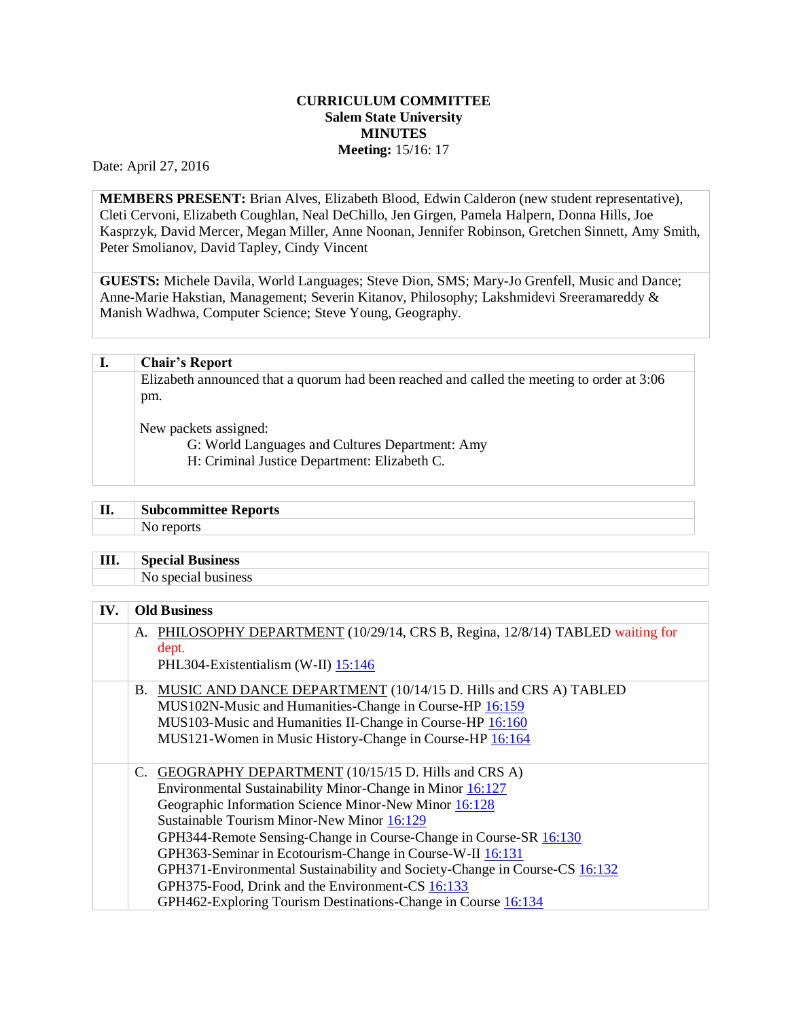## **CURRICULUM COMMITTEE Salem State University MINUTES Meeting:** 15/16: 17

Date: April 27, 2016

**MEMBERS PRESENT:** Brian Alves, Elizabeth Blood, Edwin Calderon (new student representative), Cleti Cervoni, Elizabeth Coughlan, Neal DeChillo, Jen Girgen, Pamela Halpern, Donna Hills, Joe Kasprzyk, David Mercer, Megan Miller, Anne Noonan, Jennifer Robinson, Gretchen Sinnett, Amy Smith, Peter Smolianov, David Tapley, Cindy Vincent

**GUESTS:** Michele Davila, World Languages; Steve Dion, SMS; Mary-Jo Grenfell, Music and Dance; Anne-Marie Hakstian, Management; Severin Kitanov, Philosophy; Lakshmidevi Sreeramareddy & Manish Wadhwa, Computer Science; Steve Young, Geography.

| I. | <b>Chair's Report</b>                                                                      |
|----|--------------------------------------------------------------------------------------------|
|    | Elizabeth announced that a quorum had been reached and called the meeting to order at 3:06 |
|    | pm.                                                                                        |
|    | New packets assigned:                                                                      |
|    | G: World Languages and Cultures Department: Amy                                            |
|    | H: Criminal Justice Department: Elizabeth C.                                               |
|    |                                                                                            |

| TT<br>ш | $\sim$<br><b>Subcommittee Reports</b> |
|---------|---------------------------------------|
|         | N<br>www                              |
|         |                                       |

| III.<br>$\sim$ | <b>Special</b><br>l Business |
|----------------|------------------------------|
|                | $\sim$<br>siness             |
|                |                              |

## **IV. Old Business**

|    | A. PHILOSOPHY DEPARTMENT (10/29/14, CRS B, Regina, 12/8/14) TABLED waiting for<br>dept. |
|----|-----------------------------------------------------------------------------------------|
|    | PHL304-Existentialism (W-II) 15:146                                                     |
|    |                                                                                         |
|    | B. MUSIC AND DANCE DEPARTMENT (10/14/15 D. Hills and CRS A) TABLED                      |
|    | MUS102N-Music and Humanities-Change in Course-HP 16:159                                 |
|    | MUS103-Music and Humanities II-Change in Course-HP 16:160                               |
|    | MUS121-Women in Music History-Change in Course-HP 16:164                                |
|    |                                                                                         |
| C. | GEOGRAPHY DEPARTMENT (10/15/15 D. Hills and CRS A)                                      |
|    | Environmental Sustainability Minor-Change in Minor 16:127                               |
|    | Geographic Information Science Minor-New Minor 16:128                                   |
|    | Sustainable Tourism Minor-New Minor 16:129                                              |
|    | GPH344-Remote Sensing-Change in Course-Change in Course-SR 16:130                       |
|    | GPH363-Seminar in Ecotourism-Change in Course-W-II 16:131                               |
|    | GPH371-Environmental Sustainability and Society-Change in Course-CS 16:132              |
|    | GPH375-Food, Drink and the Environment-CS 16:133                                        |
|    | GPH462-Exploring Tourism Destinations-Change in Course 16:134                           |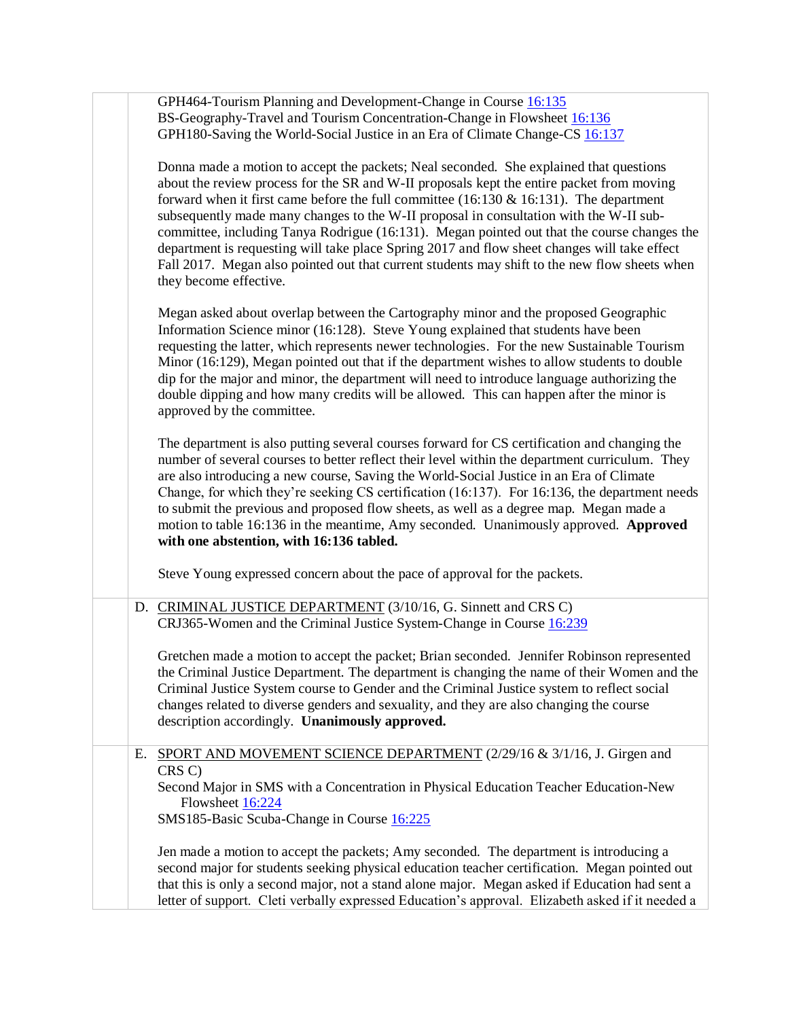|    | GPH464-Tourism Planning and Development-Change in Course 16:135<br>BS-Geography-Travel and Tourism Concentration-Change in Flowsheet 16:136<br>GPH180-Saving the World-Social Justice in an Era of Climate Change-CS 16:137                                                                                                                                                                                                                                                                                                                                                                                                                                                                          |
|----|------------------------------------------------------------------------------------------------------------------------------------------------------------------------------------------------------------------------------------------------------------------------------------------------------------------------------------------------------------------------------------------------------------------------------------------------------------------------------------------------------------------------------------------------------------------------------------------------------------------------------------------------------------------------------------------------------|
|    | Donna made a motion to accept the packets; Neal seconded. She explained that questions<br>about the review process for the SR and W-II proposals kept the entire packet from moving<br>forward when it first came before the full committee (16:130 $\&$ 16:131). The department<br>subsequently made many changes to the W-II proposal in consultation with the W-II sub-<br>committee, including Tanya Rodrigue (16:131). Megan pointed out that the course changes the<br>department is requesting will take place Spring 2017 and flow sheet changes will take effect<br>Fall 2017. Megan also pointed out that current students may shift to the new flow sheets when<br>they become effective. |
|    | Megan asked about overlap between the Cartography minor and the proposed Geographic<br>Information Science minor (16:128). Steve Young explained that students have been<br>requesting the latter, which represents newer technologies. For the new Sustainable Tourism<br>Minor (16:129), Megan pointed out that if the department wishes to allow students to double<br>dip for the major and minor, the department will need to introduce language authorizing the<br>double dipping and how many credits will be allowed. This can happen after the minor is<br>approved by the committee.                                                                                                       |
|    | The department is also putting several courses forward for CS certification and changing the<br>number of several courses to better reflect their level within the department curriculum. They<br>are also introducing a new course, Saving the World-Social Justice in an Era of Climate<br>Change, for which they're seeking CS certification (16:137). For 16:136, the department needs<br>to submit the previous and proposed flow sheets, as well as a degree map. Megan made a<br>motion to table 16:136 in the meantime, Amy seconded. Unanimously approved. Approved<br>with one abstention, with 16:136 tabled.                                                                             |
|    | Steve Young expressed concern about the pace of approval for the packets.                                                                                                                                                                                                                                                                                                                                                                                                                                                                                                                                                                                                                            |
|    | D. CRIMINAL JUSTICE DEPARTMENT (3/10/16, G. Sinnett and CRS C)<br>CRJ365-Women and the Criminal Justice System-Change in Course 16:239                                                                                                                                                                                                                                                                                                                                                                                                                                                                                                                                                               |
|    | Gretchen made a motion to accept the packet; Brian seconded. Jennifer Robinson represented<br>the Criminal Justice Department. The department is changing the name of their Women and the<br>Criminal Justice System course to Gender and the Criminal Justice system to reflect social<br>changes related to diverse genders and sexuality, and they are also changing the course<br>description accordingly. Unanimously approved.                                                                                                                                                                                                                                                                 |
| Е. | SPORT AND MOVEMENT SCIENCE DEPARTMENT (2/29/16 & 3/1/16, J. Girgen and<br>CRS C)<br>Second Major in SMS with a Concentration in Physical Education Teacher Education-New                                                                                                                                                                                                                                                                                                                                                                                                                                                                                                                             |
|    | Flowsheet 16:224<br>SMS185-Basic Scuba-Change in Course 16:225                                                                                                                                                                                                                                                                                                                                                                                                                                                                                                                                                                                                                                       |
|    | Jen made a motion to accept the packets; Amy seconded. The department is introducing a<br>second major for students seeking physical education teacher certification. Megan pointed out<br>that this is only a second major, not a stand alone major. Megan asked if Education had sent a<br>letter of support. Cleti verbally expressed Education's approval. Elizabeth asked if it needed a                                                                                                                                                                                                                                                                                                        |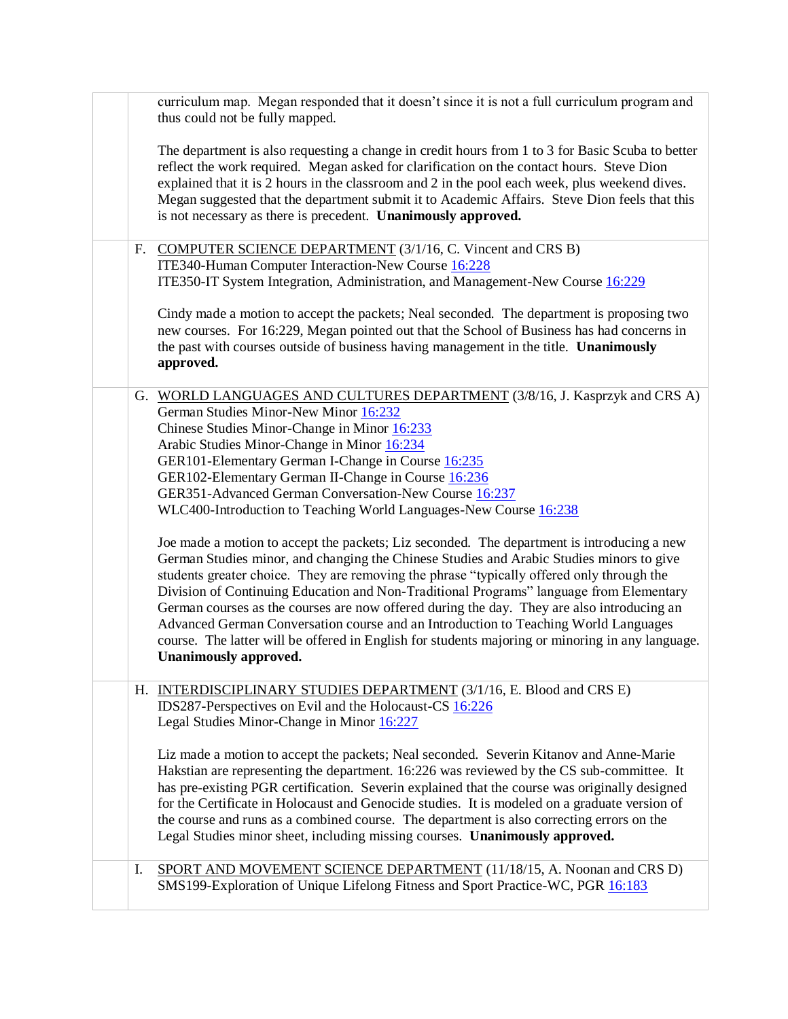|    | curriculum map. Megan responded that it doesn't since it is not a full curriculum program and<br>thus could not be fully mapped.                                                                                                                                                                                                                                                                                                                                                                                                                                                                                                                                                                                                                                                                                                                                                                                                                                                                                                                                                                                                         |
|----|------------------------------------------------------------------------------------------------------------------------------------------------------------------------------------------------------------------------------------------------------------------------------------------------------------------------------------------------------------------------------------------------------------------------------------------------------------------------------------------------------------------------------------------------------------------------------------------------------------------------------------------------------------------------------------------------------------------------------------------------------------------------------------------------------------------------------------------------------------------------------------------------------------------------------------------------------------------------------------------------------------------------------------------------------------------------------------------------------------------------------------------|
|    | The department is also requesting a change in credit hours from 1 to 3 for Basic Scuba to better<br>reflect the work required. Megan asked for clarification on the contact hours. Steve Dion<br>explained that it is 2 hours in the classroom and 2 in the pool each week, plus weekend dives.<br>Megan suggested that the department submit it to Academic Affairs. Steve Dion feels that this<br>is not necessary as there is precedent. <b>Unanimously approved.</b>                                                                                                                                                                                                                                                                                                                                                                                                                                                                                                                                                                                                                                                                 |
| F. | <b>COMPUTER SCIENCE DEPARTMENT</b> (3/1/16, C. Vincent and CRS B)<br>ITE340-Human Computer Interaction-New Course 16:228<br>ITE350-IT System Integration, Administration, and Management-New Course 16:229                                                                                                                                                                                                                                                                                                                                                                                                                                                                                                                                                                                                                                                                                                                                                                                                                                                                                                                               |
|    | Cindy made a motion to accept the packets; Neal seconded. The department is proposing two<br>new courses. For 16:229, Megan pointed out that the School of Business has had concerns in<br>the past with courses outside of business having management in the title. Unanimously<br>approved.                                                                                                                                                                                                                                                                                                                                                                                                                                                                                                                                                                                                                                                                                                                                                                                                                                            |
|    | G. WORLD LANGUAGES AND CULTURES DEPARTMENT (3/8/16, J. Kasprzyk and CRS A)<br>German Studies Minor-New Minor 16:232<br>Chinese Studies Minor-Change in Minor 16:233<br>Arabic Studies Minor-Change in Minor 16:234<br>GER101-Elementary German I-Change in Course 16:235<br>GER102-Elementary German II-Change in Course 16:236<br>GER351-Advanced German Conversation-New Course 16:237<br>WLC400-Introduction to Teaching World Languages-New Course 16:238<br>Joe made a motion to accept the packets; Liz seconded. The department is introducing a new<br>German Studies minor, and changing the Chinese Studies and Arabic Studies minors to give<br>students greater choice. They are removing the phrase "typically offered only through the<br>Division of Continuing Education and Non-Traditional Programs" language from Elementary<br>German courses as the courses are now offered during the day. They are also introducing an<br>Advanced German Conversation course and an Introduction to Teaching World Languages<br>course. The latter will be offered in English for students majoring or minoring in any language. |
|    | Unanimously approved.<br>H. INTERDISCIPLINARY STUDIES DEPARTMENT (3/1/16, E. Blood and CRS E)<br>IDS287-Perspectives on Evil and the Holocaust-CS 16:226<br>Legal Studies Minor-Change in Minor 16:227                                                                                                                                                                                                                                                                                                                                                                                                                                                                                                                                                                                                                                                                                                                                                                                                                                                                                                                                   |
|    | Liz made a motion to accept the packets; Neal seconded. Severin Kitanov and Anne-Marie<br>Hakstian are representing the department. 16:226 was reviewed by the CS sub-committee. It<br>has pre-existing PGR certification. Severin explained that the course was originally designed<br>for the Certificate in Holocaust and Genocide studies. It is modeled on a graduate version of<br>the course and runs as a combined course. The department is also correcting errors on the<br>Legal Studies minor sheet, including missing courses. Unanimously approved.                                                                                                                                                                                                                                                                                                                                                                                                                                                                                                                                                                        |
| I. | SPORT AND MOVEMENT SCIENCE DEPARTMENT (11/18/15, A. Noonan and CRS D)<br>SMS199-Exploration of Unique Lifelong Fitness and Sport Practice-WC, PGR 16:183                                                                                                                                                                                                                                                                                                                                                                                                                                                                                                                                                                                                                                                                                                                                                                                                                                                                                                                                                                                 |